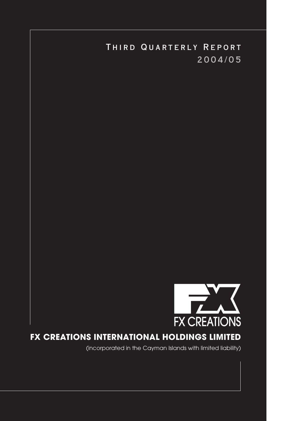

# **FX CREATIONS INTERNATIONAL HOLDINGS LIMITED**

(incorporated in the Cayman Islands with limited liability)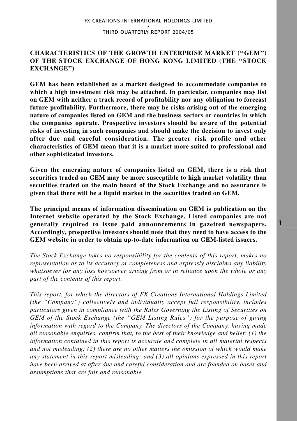# **CHARACTERISTICS OF THE GROWTH ENTERPRISE MARKET (''GEM'') OF THE STOCK EXCHANGE OF HONG KONG LIMITED (THE ''STOCK EXCHANGE'')**

**GEM has been established as a market designed to accommodate companies to which a high investment risk may be attached. In particular, companies may list on GEM with neither a track record of profitability nor any obligation to forecast future profitability. Furthermore, there may be risks arising out of the emerging nature of companies listed on GEM and the business sectors or countries in which the companies operate. Prospective investors should be aware of the potential risks of investing in such companies and should make the decision to invest only after due and careful consideration. The greater risk profile and other characteristics of GEM mean that it is a market more suited to professional and other sophisticated investors.**

**Given the emerging nature of companies listed on GEM, there is a risk that securities traded on GEM may be more susceptible to high market volatility than securities traded on the main board of the Stock Exchange and no assurance is given that there will be a liquid market in the securities traded on GEM.**

**The principal means of information dissemination on GEM is publication on the Internet website operated by the Stock Exchange. Listed companies are not generally required to issue paid announcements in gazetted newspapers. Accordingly, prospective investors should note that they need to have access to the GEM website in order to obtain up-to-date information on GEM-listed issuers.**

*The Stock Exchange takes no responsibility for the contents of this report, makes no representation as to its accuracy or completeness and expressly disclaims any liability whatsoever for any loss howsoever arising from or in reliance upon the whole or any part of the contents of this report.*

*This report, for which the directors of FX Creations International Holdings Limited (the "Company") collectively and individually accept full responsibility, includes particulars given in compliance with the Rules Governing the Listing of Securities on GEM of the Stock Exchange (the ''GEM Listing Rules'') for the purpose of giving information with regard to the Company. The directors of the Company, having made all reasonable enquiries, confirm that, to the best of their knowledge and belief: (1) the information contained in this report is accurate and complete in all material respects and not misleading; (2) there are no other matters the omission of which would make any statement in this report misleading; and (3) all opinions expressed in this report have been arrived at after due and careful consideration and are founded on bases and assumptions that are fair and reasonable.*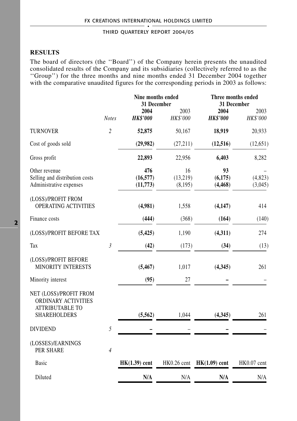# **RESULTS**

The board of directors (the ''Board'') of the Company herein presents the unaudited consolidated results of the Company and its subsidiaries (collectively referred to as the ''Group'') for the three months and nine months ended 31 December 2004 together with the comparative unaudited figures for the corresponding periods in 2003 as follows:

|                                                                                                |                | Nine months ended<br>31 December |                            | Three months ended<br>31 December |                    |
|------------------------------------------------------------------------------------------------|----------------|----------------------------------|----------------------------|-----------------------------------|--------------------|
|                                                                                                | <b>Notes</b>   | 2004<br><b>HK\$'000</b>          | 2003<br>HK\$'000           | 2004<br><b>HK\$'000</b>           | 2003<br>HK\$'000   |
| <b>TURNOVER</b>                                                                                | $\overline{c}$ | 52,875                           | 50,167                     | 18,919                            | 20,933             |
| Cost of goods sold                                                                             |                | (29,982)                         | (27,211)                   | (12, 516)                         | (12, 651)          |
| Gross profit                                                                                   |                | 22,893                           | 22,956                     | 6,403                             | 8,282              |
| Other revenue<br>Selling and distribution costs<br>Administrative expenses                     |                | 476<br>(16, 577)<br>(11, 773)    | 16<br>(13,219)<br>(8, 195) | 93<br>(6,175)<br>(4, 468)         | (4,823)<br>(3,045) |
| (LOSS)/PROFIT FROM<br><b>OPERATING ACTIVITIES</b>                                              |                | (4,981)                          | 1,558                      | (4,147)                           | 414                |
| Finance costs                                                                                  |                | (444)                            | (368)                      | (164)                             | (140)              |
| (LOSS)/PROFIT BEFORE TAX                                                                       |                | (5, 425)                         | 1,190                      | (4, 311)                          | 274                |
| Tax                                                                                            | $\mathfrak{Z}$ | (42)                             | (173)                      | (34)                              | (13)               |
| (LOSS)/PROFIT BEFORE<br><b>MINORITY INTERESTS</b>                                              |                | (5, 467)                         | 1,017                      | (4,345)                           | 261                |
| Minority interest                                                                              |                | (95)                             | 27                         |                                   |                    |
| NET (LOSS)/PROFIT FROM<br>ORDINARY ACTIVITIES<br><b>ATTRIBUTABLE TO</b><br><b>SHAREHOLDERS</b> |                | (5,562)                          | 1,044                      | (4,345)                           | 261                |
| <b>DIVIDEND</b>                                                                                | 5              |                                  |                            |                                   |                    |
| (LOSSES)/EARNINGS<br>PER SHARE                                                                 | $\overline{4}$ |                                  |                            |                                   |                    |
| <b>Basic</b>                                                                                   |                | $HK(1.39)$ cent                  |                            | $HK0.26$ cent $HK(1.09)$ cent     | HK0.07 cent        |
| Diluted                                                                                        |                | N/A                              | N/A                        | N/A                               | N/A                |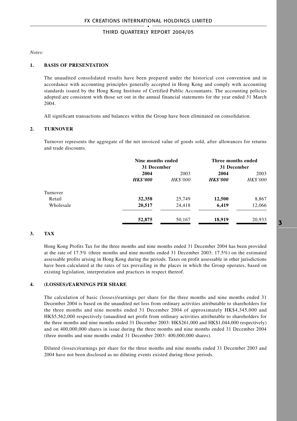*Notes:*

#### **1. BASIS OF PRESENTATION**

The unaudited consolidated results have been prepared under the historical cost convention and in accordance with accounting principles generally accepted in Hong Kong and comply with accounting standards issued by the Hong Kong Institute of Certified Public Accountants. The accounting policies adopted are consistent with those set out in the annual financial statements for the year ended 31 March 2004.

All significant transactions and balances within the Group have been eliminated on consolidation.

### **2. TURNOVER**

Turnover represents the aggregate of the net invoiced value of goods sold, after allowances for returns and trade discounts.

|           | Nine months ended |                 | Three months ended |                 |  |
|-----------|-------------------|-----------------|--------------------|-----------------|--|
|           |                   | 31 December     |                    | 31 December     |  |
|           | 2004              | 2003            | 2004               | 2003            |  |
|           | <b>HK\$'000</b>   | <b>HK\$'000</b> | <b>HK\$'000</b>    | <b>HK\$'000</b> |  |
| Turnover  |                   |                 |                    |                 |  |
| Retail    | 32,358            | 25,749          | 12,500             | 8,867           |  |
| Wholesale | 20,517            | 24,418          | 6,419              | 12,066          |  |
|           | 52,875            | 50,167          | 18,919             | 20,933          |  |

## **3. TAX**

Hong Kong Profits Tax for the three months and nine months ended 31 December 2004 has been provided at the rate of 17.5% (three months and nine months ended 31 December 2003: 17.5%) on the estimated assessable profits arising in Hong Kong during the periods. Taxes on profit assessable in other jurisdictions have been calculated at the rates of tax prevailing in the places in which the Group operates, based on existing legislation, interpretation and practices in respect thereof.

### **4. (LOSSES)/EARNINGS PER SHARE**

The calculation of basic (losses)/earnings per share for the three months and nine months ended 31 December 2004 is based on the unaudited net loss from ordinary activities attributable to shareholders for the three months and nine months ended 31 December 2004 of approximately HK\$4,345,000 and HK\$5,562,000 respectively (unaudited net profit from ordinary activities attributable to shareholders for the three months and nine months ended 31 December 2003: HK\$261,000 and HK\$1,044,000 respectively) and on 400,000,000 shares in issue during the three months and nine months ended 31 December 2004 (three months and nine months ended 31 December 2003: 400,000,000 shares).

Diluted (losses)/earnings per share for the three months and nine months ended 31 December 2003 and 2004 have not been disclosed as no diluting events existed during those periods.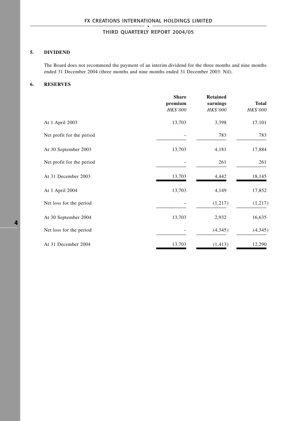## **5. DIVIDEND**

The Board does not recommend the payment of an interim dividend for the three months and nine months ended 31 December 2004 (three months and nine months ended 31 December 2003: Nil).

## **6. RESERVES**

|                           | <b>Share</b><br>premium<br><b>HK\$'000</b> | <b>Retained</b><br>earnings<br><b>HK\$'000</b> | Total<br>HK\$'000 |
|---------------------------|--------------------------------------------|------------------------------------------------|-------------------|
| At 1 April 2003           | 13,703                                     | 3,398                                          | 17,101            |
| Net profit for the period |                                            | 783                                            | 783               |
| At 30 September 2003      | 13,703                                     | 4,181                                          | 17,884            |
| Net profit for the period |                                            | 261                                            | 261               |
| At 31 December 2003       | 13,703                                     | 4,442                                          | 18,145            |
| At 1 April 2004           | 13,703                                     | 4,149                                          | 17,852            |
| Net loss for the period   |                                            | (1,217)                                        | (1, 217)          |
| At 30 September 2004      | 13,703                                     | 2,932                                          | 16,635            |
| Net loss for the period   |                                            | (4,345)                                        | (4, 345)          |
| At 31 December 2004       | 13,703                                     | (1, 413)                                       | 12,290            |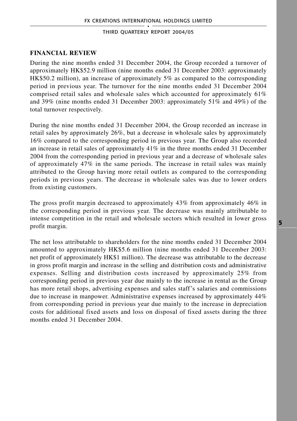## **FINANCIAL REVIEW**

During the nine months ended 31 December 2004, the Group recorded a turnover of approximately HK\$52.9 million (nine months ended 31 December 2003: approximately HK\$50.2 million), an increase of approximately 5% as compared to the corresponding period in previous year. The turnover for the nine months ended 31 December 2004 comprised retail sales and wholesale sales which accounted for approximately 61% and 39% (nine months ended 31 December 2003: approximately 51% and 49%) of the total turnover respectively.

During the nine months ended 31 December 2004, the Group recorded an increase in retail sales by approximately 26%, but a decrease in wholesale sales by approximately 16% compared to the corresponding period in previous year. The Group also recorded an increase in retail sales of approximately 41% in the three months ended 31 December 2004 from the corresponding period in previous year and a decrease of wholesale sales of approximately 47% in the same periods. The increase in retail sales was mainly attributed to the Group having more retail outlets as compared to the corresponding periods in previous years. The decrease in wholesale sales was due to lower orders from existing customers.

The gross profit margin decreased to approximately 43% from approximately 46% in the corresponding period in previous year. The decrease was mainly attributable to intense competition in the retail and wholesale sectors which resulted in lower gross profit margin.

The net loss attributable to shareholders for the nine months ended 31 December 2004 amounted to approximately HK\$5.6 million (nine months ended 31 December 2003: net profit of approximately HK\$1 million). The decrease was attributable to the decrease in gross profit margin and increase in the selling and distribution costs and administrative expenses. Selling and distribution costs increased by approximately 25% from corresponding period in previous year due mainly to the increase in rental as the Group has more retail shops, advertising expenses and sales staff's salaries and commissions due to increase in manpower. Administrative expenses increased by approximately 44% from corresponding period in previous year due mainly to the increase in depreciation costs for additional fixed assets and loss on disposal of fixed assets during the three months ended 31 December 2004.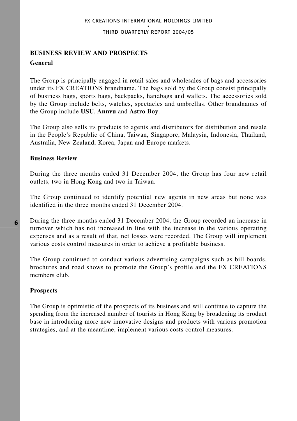# **BUSINESS REVIEW AND PROSPECTS General**

The Group is principally engaged in retail sales and wholesales of bags and accessories under its FX CREATIONS brandname. The bags sold by the Group consist principally of business bags, sports bags, backpacks, handbags and wallets. The accessories sold by the Group include belts, watches, spectacles and umbrellas. Other brandnames of the Group include **USU**, **Annvu** and **Astro Boy**.

The Group also sells its products to agents and distributors for distribution and resale in the People's Republic of China, Taiwan, Singapore, Malaysia, Indonesia, Thailand, Australia, New Zealand, Korea, Japan and Europe markets.

## **Business Review**

During the three months ended 31 December 2004, the Group has four new retail outlets, two in Hong Kong and two in Taiwan.

The Group continued to identify potential new agents in new areas but none was identified in the three months ended 31 December 2004.

During the three months ended 31 December 2004, the Group recorded an increase in turnover which has not increased in line with the increase in the various operating expenses and as a result of that, net losses were recorded. The Group will implement various costs control measures in order to achieve a profitable business.

The Group continued to conduct various advertising campaigns such as bill boards, brochures and road shows to promote the Group's profile and the FX CREATIONS members club.

## **Prospects**

The Group is optimistic of the prospects of its business and will continue to capture the spending from the increased number of tourists in Hong Kong by broadening its product base in introducing more new innovative designs and products with various promotion strategies, and at the meantime, implement various costs control measures.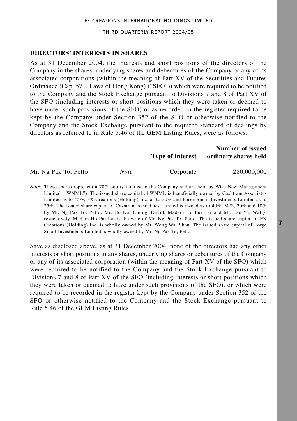## **DIRECTORS' INTERESTS IN SHARES**

As at 31 December 2004, the interests and short positions of the directors of the Company in the shares, underlying shares and debentures of the Company or any of its associated corporations (within the meaning of Part XV of the Securities and Futures Ordinance (Cap. 571, Laws of Hong Kong) ("SFO")) which were required to be notified to the Company and the Stock Exchange pursuant to Divisions 7 and 8 of Part XV of the SFO (including interests or short positions which they were taken or deemed to have under such provisions of the SFO) or as recorded in the register required to be kept by the Company under Section 352 of the SFO or otherwise notified to the Company and the Stock Exchange pursuant to the required standard of dealings by directors as referred to in Rule 5.46 of the GEM Listing Rules, were as follows:

|                      |             | Type of interest | Number of issued<br>ordinary shares held |
|----------------------|-------------|------------------|------------------------------------------|
| Mr. Ng Pak To, Petto | <b>Note</b> | Corporate        | 280,000,000                              |

*Note:* These shares represent a 70% equity interest in the Company and are held by Wise New Management Limited ("WNML"). The issued share capital of WNML is beneficially owned by Cashtram Associates Limited as to 45%, FX Creations (Holding) Inc. as to 30% and Forge Smart Investments Limited as to 25%. The issued share capital of Cashtram Associates Limited is owned as to 40%, 30%, 20% and 10% by Mr. Ng Pak To, Petto, Mr. Ho Kai Chung, David, Madam Ho Pui Lai and Mr. Tan Yu, Wally, respectively. Madam Ho Pui Lai is the wife of Mr. Ng Pak To, Petto. The issued share capital of FX Creations (Holding) Inc. is wholly owned by Mr. Wong Wai Shan. The issued share capital of Forge Smart Investments Limited is wholly owned by Mr. Ng Pak To, Petto.

Save as disclosed above, as at 31 December 2004, none of the directors had any other interests or short positions in any shares, underlying shares or debentures of the Company or any of its associated corporation (within the meaning of Part XV of the SFO) which were required to be notified to the Company and the Stock Exchange pursuant to Divisions 7 and 8 of Part XV of the SFO (including interests or short positions which they were taken or deemed to have under such provisions of the SFO), or which were required to be recorded in the register kept by the Company under Section 352 of the SFO or otherwise notified to the Company and the Stock Exchange pursuant to Rule 5.46 of the GEM Listing Rules.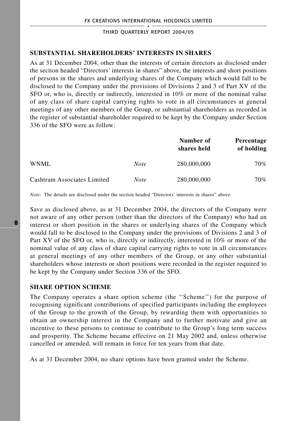## **SUBSTANTIAL SHAREHOLDERS' INTERESTS IN SHARES**

As at 31 December 2004, other than the interests of certain directors as disclosed under the section headed "Directors' interests in shares" above, the interests and short positions of persons in the shares and underlying shares of the Company which would fall to be disclosed to the Company under the provisions of Divisions 2 and 3 of Part XV of the SFO or, who is, directly or indirectly, interested in 10% or more of the nominal value of any class of share capital carrying rights to vote in all circumstances at general meetings of any other members of the Group, or substantial shareholders as recorded in the register of substantial shareholder required to be kept by the Company under Section 336 of the SFO were as follow:

|                             |             | Number of<br>shares held | Percentage<br>of holding |
|-----------------------------|-------------|--------------------------|--------------------------|
| WNML.                       | <b>Note</b> | 280,000,000              | 70%                      |
| Cashtram Associates Limited | <i>Note</i> | 280,000,000              | 70%                      |

*Note:* The details are disclosed under the section headed "Directors' interests in shares" above.

Save as disclosed above, as at 31 December 2004, the directors of the Company were not aware of any other person (other than the directors of the Company) who had an interest or short position in the shares or underlying shares of the Company which would fall to be disclosed to the Company under the provisions of Divisions 2 and 3 of Part XV of the SFO or, who is, directly or indirectly, interested in 10% or more of the nominal value of any class of share capital carrying rights to vote in all circumstances at general meetings of any other members of the Group, or any other substantial shareholders whose interests or short positions were recorded in the register required to be kept by the Company under Section 336 of the SFO.

## **SHARE OPTION SCHEME**

The Company operates a share option scheme (the ''Scheme'') for the purpose of recognising significant contributions of specified participants including the employees of the Group to the growth of the Group, by rewarding them with opportunities to obtain an ownership interest in the Company and to further motivate and give an incentive to these persons to continue to contribute to the Group's long term success and prosperity. The Scheme became effective on 21 May 2002 and, unless otherwise cancelled or amended, will remain in force for ten years from that date.

As at 31 December 2004, no share options have been granted under the Scheme.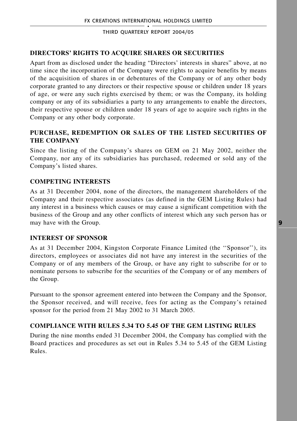# **DIRECTORS' RIGHTS TO ACQUIRE SHARES OR SECURITIES**

Apart from as disclosed under the heading "Directors' interests in shares" above, at no time since the incorporation of the Company were rights to acquire benefits by means of the acquisition of shares in or debentures of the Company or of any other body corporate granted to any directors or their respective spouse or children under 18 years of age, or were any such rights exercised by them; or was the Company, its holding company or any of its subsidiaries a party to any arrangements to enable the directors, their respective spouse or children under 18 years of age to acquire such rights in the Company or any other body corporate.

# **PURCHASE, REDEMPTION OR SALES OF THE LISTED SECURITIES OF THE COMPANY**

Since the listing of the Company's shares on GEM on 21 May 2002, neither the Company, nor any of its subsidiaries has purchased, redeemed or sold any of the Company's listed shares.

# **COMPETING INTERESTS**

As at 31 December 2004, none of the directors, the management shareholders of the Company and their respective associates (as defined in the GEM Listing Rules) had any interest in a business which causes or may cause a significant competition with the business of the Group and any other conflicts of interest which any such person has or may have with the Group.

# **INTEREST OF SPONSOR**

As at 31 December 2004, Kingston Corporate Finance Limited (the ''Sponsor''), its directors, employees or associates did not have any interest in the securities of the Company or of any members of the Group, or have any right to subscribe for or to nominate persons to subscribe for the securities of the Company or of any members of the Group.

Pursuant to the sponsor agreement entered into between the Company and the Sponsor, the Sponsor received, and will receive, fees for acting as the Company's retained sponsor for the period from 21 May 2002 to 31 March 2005.

# **COMPLIANCE WITH RULES 5.34 TO 5.45 OF THE GEM LISTING RULES**

During the nine months ended 31 December 2004, the Company has complied with the Board practices and procedures as set out in Rules 5.34 to 5.45 of the GEM Listing Rules.